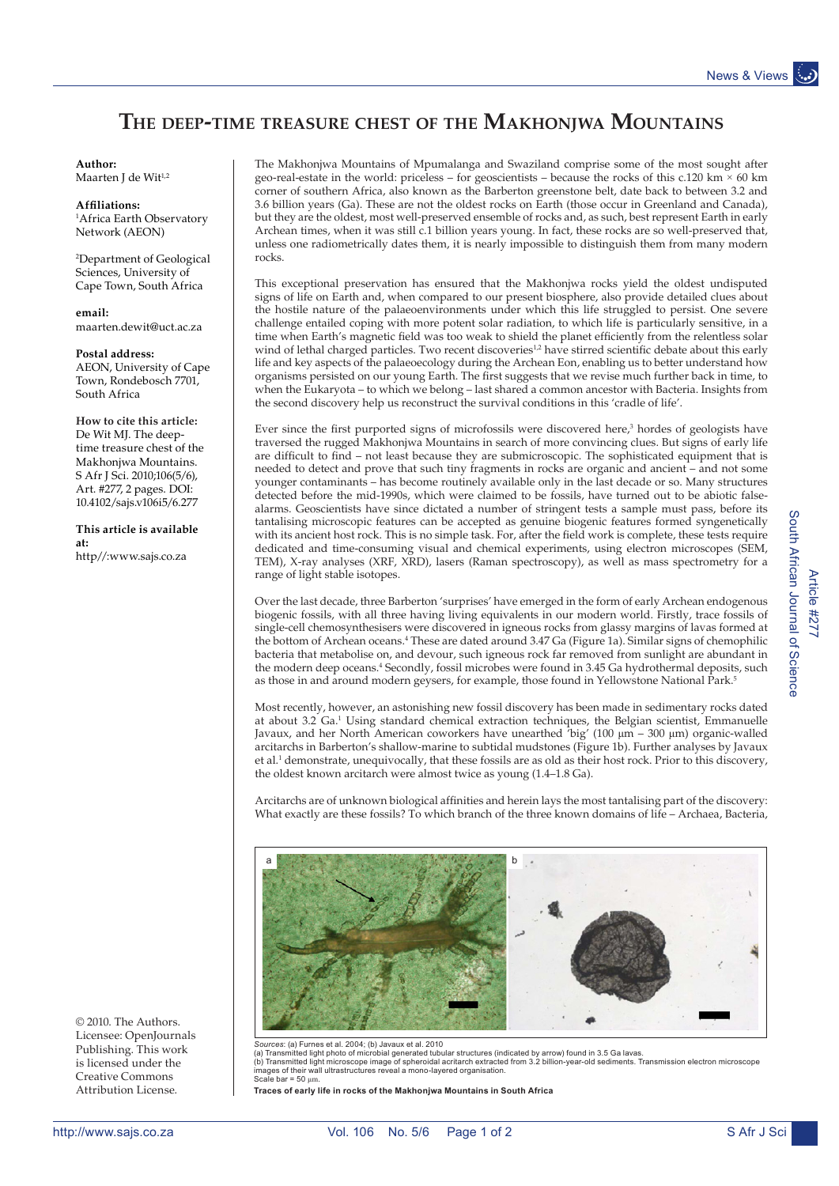## **The deep-time treasure chest of the Makhonjwa Mountains**

**Author:**  Maarten J de Wit<sup>1,2</sup>

**Affiliations:** 1 Africa Earth Observatory Network (AEON)

2 Department of Geological Sciences, University of Cape Town, South Africa

**email:** maarten.dewit@uct.ac.za

**Postal address:**  AEON, University of Cape Town, Rondebosch 7701, South Africa

**How to cite this article:** De Wit MJ. The deeptime treasure chest of the Makhonjwa Mountains. S Afr J Sci. 2010;106(5/6), Art. #277, 2 pages. DOI: 10.4102/sajs.v106i5/6.277

**This article is available at:**  http//:www.sajs.co.za

© 2010. The Authors. Licensee: OpenJournals Publishing. This work is licensed under the Creative Commons Attribution License.

The Makhonjwa Mountains of Mpumalanga and Swaziland comprise some of the most sought after geo-real-estate in the world: priceless – for geoscientists – because the rocks of this c.120 km  $\times$  60 km corner of southern Africa, also known as the Barberton greenstone belt, date back to between 3.2 and 3.6 billion years (Ga). These are not the oldest rocks on Earth (those occur in Greenland and Canada), but they are the oldest, most well-preserved ensemble of rocks and, as such, best represent Earth in early Archean times, when it was still c.1 billion years young. In fact, these rocks are so well-preserved that, unless one radiometrically dates them, it is nearly impossible to distinguish them from many modern rocks.

This exceptional preservation has ensured that the Makhonjwa rocks yield the oldest undisputed signs of life on Earth and, when compared to our present biosphere, also provide detailed clues about the hostile nature of the palaeoenvironments under which this life struggled to persist. One severe challenge entailed coping with more potent solar radiation, to which life is particularly sensitive, in a time when Earth's magnetic field was too weak to shield the planet efficiently from the relentless solar wind of lethal charged particles. Two recent discoveries<sup>1,2</sup> have stirred scientific debate about this early life and key aspects of the palaeoecology during the Archean Eon, enabling us to better understand how organisms persisted on our young Earth. The first suggests that we revise much further back in time, to when the Eukaryota – to which we belong – last shared a common ancestor with Bacteria. Insights from the second discovery help us reconstruct the survival conditions in this 'cradle of life'.

Ever since the first purported signs of microfossils were discovered here,<sup>3</sup> hordes of geologists have traversed the rugged Makhonjwa Mountains in search of more convincing clues. But signs of early life are difficult to find – not least because they are submicroscopic. The sophisticated equipment that is needed to detect and prove that such tiny fragments in rocks are organic and ancient – and not some younger contaminants – has become routinely available only in the last decade or so. Many structures detected before the mid-1990s, which were claimed to be fossils, have turned out to be abiotic falsealarms. Geoscientists have since dictated a number of stringent tests a sample must pass, before its tantalising microscopic features can be accepted as genuine biogenic features formed syngenetically with its ancient host rock. This is no simple task. For, after the field work is complete, these tests require dedicated and time-consuming visual and chemical experiments, using electron microscopes (SEM, TEM), X-ray analyses (XRF, XRD), lasers (Raman spectroscopy), as well as mass spectrometry for a range of light stable isotopes.

Over the last decade, three Barberton 'surprises' have emerged in the form of early Archean endogenous biogenic fossils, with all three having living equivalents in our modern world. Firstly, trace fossils of single-cell chemosynthesisers were discovered in igneous rocks from glassy margins of lavas formed at the bottom of Archean oceans.<sup>4</sup> These are dated around 3.47 Ga (Figure 1a). Similar signs of chemophilic bacteria that metabolise on, and devour, such igneous rock far removed from sunlight are abundant in the modern deep oceans.<sup>4</sup> Secondly, fossil microbes were found in 3.45 Ga hydrothermal deposits, such as those in and around modern geysers, for example, those found in Yellowstone National Park.<sup>5</sup>

Most recently, however, an astonishing new fossil discovery has been made in sedimentary rocks dated at about 3.2 Ga.<sup>1</sup> Using standard chemical extraction techniques, the Belgian scientist, Emmanuelle Javaux, and her North American coworkers have unearthed 'big' (100 μm – 300 μm) organic-walled arcitarchs in Barberton's shallow-marine to subtidal mudstones (Figure 1b). Further analyses by Javaux et al.<sup>1</sup> demonstrate, unequivocally, that these fossils are as old as their host rock. Prior to this discovery, the oldest known arcitarch were almost twice as young (1.4–1.8 Ga).

Arcitarchs are of unknown biological affinities and herein lays the most tantalising part of the discovery: What exactly are these fossils? To which branch of the three known domains of life – Archaea, Bacteria,



*Sources*: (a) Furnes et al. 2004; (b) Javaux et al. 2010

(a) Transmitted light photo of microbial generated tubular structures (indicated by arrow) found in 3.5 Ga lavas.<br>(b) Transmitted light microscope image of spheroidal acritarch extracted from 3.2 billion-year-old sediments images of their wa<br>Scale bar = 50 μm

**Traces of early life in rocks of the Makhonjwa Mountains in South Africa**